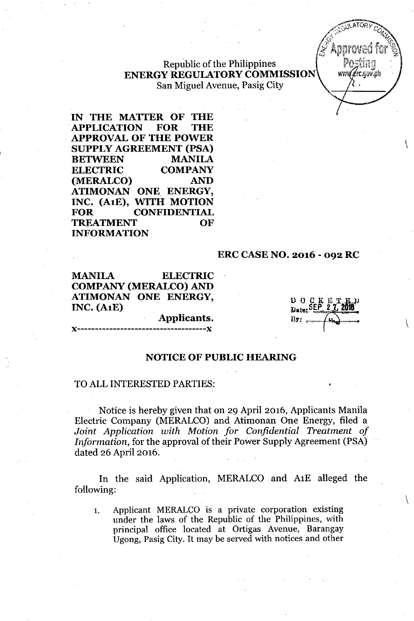Republic of the Philippines **ENERGY REGULATORYCOMMISSION** San Miguel Avenue, Pasig City

**IN THE MATTER OF THE APPLICATION FOR THE APPROVAL OF THE POWER SUPPLY AGREEMENT (PSA) BETWEEN MANILA ELECTRIC COMPANY (MERALCO) AND ATIMONAN ONE ENERGY, INC. (A1E), WITH MOTION FOR CONFIDENTIAL TREATMENT OF INFORMATION**

#### **ERC CASE NO. 2016 - 092 RC**

**MANILA ELECTRIC** COMPANY (MERALCO)AND **ATIMONAN ONE ENERGY, INC. (A1E)**

"-----------------------------------~,,

**Applicants.**

 $D$  O  $C$  K  $E$  T Date: SEP By:  $...$ 

\

www.erc.gov.ph

 $\setminus$ 

 $\setminus$ 

#### **NOTICE OF PUBLIC HEARING**

#### TO ALL INTERESTED PARTIES:

Notice is hereby given that on 29 April 2016, Applicants Manila Electric Company (MERALCO) and Atimonan One Energy, filed a *Joint Application with Motion for Confidential Treatment of Information,* for the approval of their Power Supply Agreement (PSA) dated 26 April 2016.

In the said Application, MERALCO and AlE alleged the following:

1. Applicant MERALCO is a private corporation existing under the laws of the Republic of the Philippines, with principal office located at Ortigas Avenue, Barangay Ugong, Pasig City. It may be served with notices and other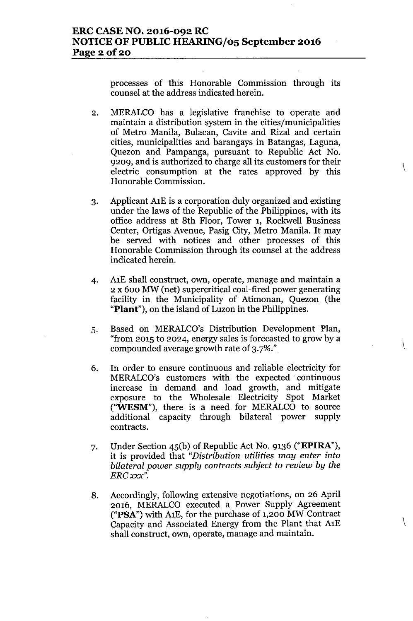processes of this Honorable Commission through its counsel at the address indicated herein.

2. MERALCO has a legislative franchise to operate and maintain a distribution system in the cities/municipalities of Metro Manila, Bulacan, Cavite and Rizal and certain cities, municipalities and barangays in Batangas, Laguna, Quezon and Pampanga, pursuant to Republic Act No. 9209, and is authorized to charge all its customers for their electric consumption at the rates approved by this Honorable Commission.

 $\setminus$ 

 $\setminus$ 

- 3. Applicant AlE is a corporation duly organized and existing under the laws of the Republic of the Philippines, with its office address at 8th Floor, Tower 1, Rockwell Business Center, Ortigas Avenue, Pasig City, Metro Manila. It may be served with notices and other processes of this Honorable Commission through its counsel at the address indicated herein.
- 4. AlE shall construct, own, operate, manage and maintain a 2 x 600 MW (net) supercritical coal-fired power generating facility in the Municipality of Atimonan, Quezon (the "Plant"), on the island of Luzon in the Philippines.
- 5. Based on MERALCO's Distribution Development Plan, "from 2015 to 2024, energy sales is forecasted to grow by a compounded average growth rate of 3.7%."
- 6. In order to ensure continuous and reliable electricity for MERALCO's customers with the expected continuous increase in demand and load growth, and mitigate exposure to the Wholesale Electricity Spot Market ("WESM"), there is a need for MERALCO to source additional capacity through bilateral power supply contracts.
- 7. Under Section 45(b) of Republic Act No. 9136 ("EPIRA"), it is provided that *"Distribution utilities may enter into bilateral power supply contracts subject to review by the ERCxxx".*
- 8. Accordingly, following extensive negotiations, on 26 April 2016, MERALCO executed a Power Supply Agreement ("PSA") with AlE, for the purchase of 1,200 MW Contract Capacity and Associated Energy from the Plant that AlE shall construct, own, operate, manage and maintain.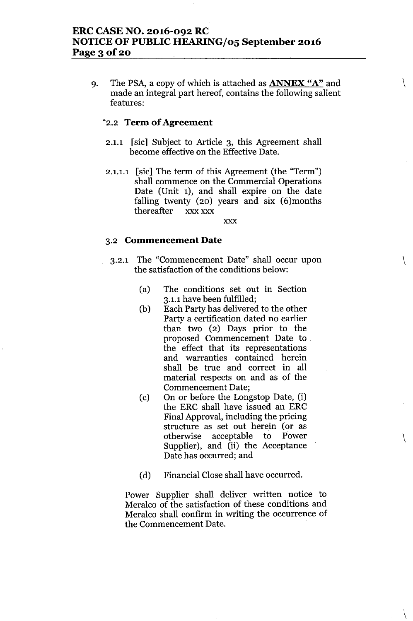9. The PSA, a copy of which is attached as **ANNEX** "A" and made an integral part hereof, contains the following salient features:

 $\setminus$ 

 $\setminus$ 

\

 $\setminus$ 

## "2.2 **Term of Agreement**

- 2.1.1 [sic] Subject to Article 3, this Agreement shall become effective on the Effective Date.
- 2.1.1.1 [sic] The term of this Agreement (the "Term") shall commence on the Commercial Operations Date (Unit 1), and shall expire on the date falling twenty (20) years and six (6)months thereafter xxx xxx

xxx

## 3.2 **Commencement Date**

- 3.2.1 The "Commencement Date" shall occur upon the satisfaction of the conditions below:
	- (a) The conditions set out in Section 3.1.1 have been fulfilled;
	- (b) Each Party has delivered to the other Party a certification dated no earlier than two (2) Days prior to the proposed Commencement Date to the effect that its representations and warranties contained herein shall be true and correct in all material respects on and as of the Commencement Date;
	- (c) On or before the Longstop Date, (i) the ERC shall have issued an ERC Final Approval, including the pricing structure as set out herein (or as otherwise acceptable to Power Supplier), and (ii) the Acceptance Date has occurred; and
	- (d) Financial Close shall have occurred.

Power Supplier shall deliver written notice to Meralco of the satisfaction of these conditions and Meralco shall confirm in writing the occurrence of the Commencement Date.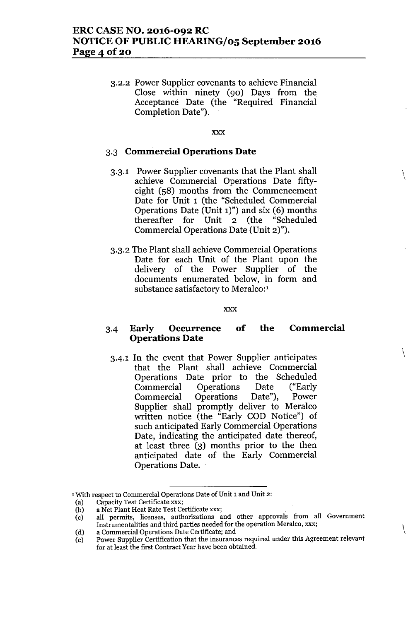3.2.2 Power Supplier covenants to achieve Financial Close within ninety (90) Days from the Acceptance Date (the "Required Financial Completion Date").

#### xxx

 $\setminus$ 

 $\setminus$ 

 $\setminus$ 

## 3.3 **Commercial Operations Date**

- 3.3.1 Power Supplier covenants that the Plant shall achieve Commercial Operations Date fiftyeight (58) months from the Commencement Date for Unit 1 (the "Scheduled Commercial Operations Date (Unit 1)") and six (6) months thereafter for Unit 2 (the "Scheduled Commercial Operations Date (Unit 2)").
- 3.3.2 The Plant shall achieve Commercial Operations Date for each Unit of the Plant upon the delivery of the Power Supplier of the documents enumerated below, in form and substance satisfactory to Meralco:<sup>1</sup>

#### xxx

#### 3-4 **Early Occurrence Operations Date of the Commercial**

3-4.1 In the event that Power Supplier anticipates that the Plant shall achieve Commercial Operations Date prior to the Scheduled Commercial Operations Date ("Early Commercial Operations Date"), Power Supplier shall promptly deliver to Meralco written notice (the "Early COD Notice") of such anticipated Early Commercial Operations Date, indicating the anticipated date thereof, at least three (3) months prior to the then anticipated date of the Early Commercial Operations Date.

(d) a Commercial Operations Date Certificate; and

<sup>&#</sup>x27;With respect to Commercial Operations Date of Unit 1 and Unit 2:

Ca) Capacity Test Certificate xxx;

<sup>(</sup>b) a Net Plant Heat Rate Test Certificate xxx:

Cc) all permits, licenses, authorizations and other approvals from all Government Instrumentalities and third parties needed for the operation Meralco, xxx;

Ce) Power Supplier Certification that the insurances required under this Agreement relevant for at least the first Contract Year have been obtained.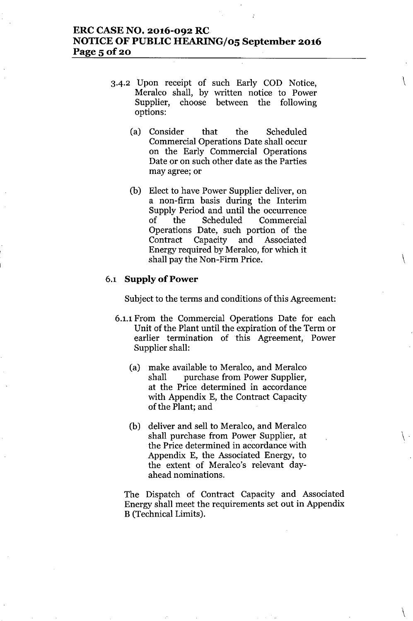# **ERC CASE NO. 2016-092 RC NOTICE OF PUBLIC HEARING/oS September 2016 Page** 5 of 20

3.4.2 Upon receipt of such Early COD Notice, Meralco shall, by written notice to Power Supplier, choose between the following options:

 $\setminus$ 

 $\setminus$ 

 $\setminus$ 

 $\setminus$ 

- (a) Consider that the Scheduled Commercial Operations Date shall occur on the Early Commercial Operations Date or on such other date as the Parties may agree; or
- (b) Elect to have Power Supplier deliver, on a non-firm basis during the Interim Supply Period and until the occurrence of the Scheduled Commercial Operations Date, such portion of the Contract Capacity and Associated Energy required by Meralco, for which it shall pay the Non-Firm Price.

## 6.1 **Supply of Power**

Subject to the terms and conditions of this Agreement:

- 6.1.1 From the Commercial Operations Date for each Unit of the Plant until the expiration of the Term or earlier termination of this Agreement, Power Supplier shall:
	- (a) make available to Meralco, and Meralco shall purchase from Power Supplier, at the Price determined in accordance with Appendix E, the Contract Capacity of the Plant; and
	- (b) deliver and sell to Meralco, and Meralco shall purchase from Power Supplier, at the Price determined in accordance with Appendix E, the Associated Energy, to the extent of Meralco's relevant dayahead nominations.

The Dispatch of Contract Capacity and Associated Energy shall meet the requirements set out in Appendix B (Technical Limits).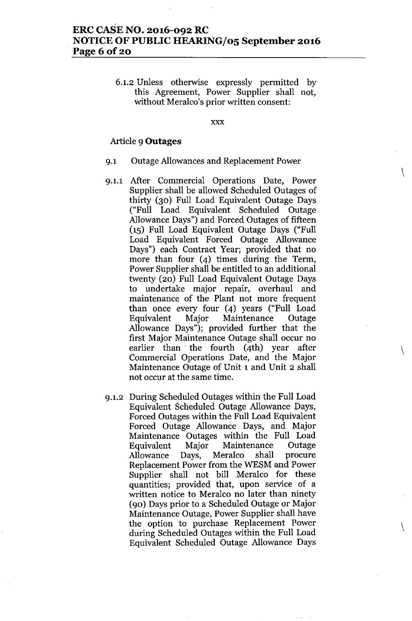# **ERC CASE NO. 2016-092 RC NOTICE OF PUBLIC HEARING/05 September 2016 Page 6 of 20**

6.1.2 Unless otherwise expressly permitted by this Agreement, Power Supplier shall not, without Meralco's prior written consent:

xxx

 $\setminus$ 

 $\setminus$ 

 $\setminus$ 

### Article 9 **Outages**

- 9.1 Outage Allowances and Replacement Power
- 9.1.1 After Commercial Operations Date, Power Supplier shall be allowed Scheduled Outages of thirty (30) Full Load Equivalent Outage Days ("Full Load Equivalent Scheduled Outage Allowance Days") and Forced Outages of fifteen (15) Full Load Equivalent Outage Days ("Full Load Equivalent Forced Outage Allowance Days") each Contract Year; provided that no more than four (4) times during the Term, Power Supplier shall be entitled to an additional twenty (20) Full Load Equivalent Outage Days to undertake major repair, overhaul and maintenance of the Plant not more frequent than once every four (4) years ("Full Load Equivalent Major Maintenance Outage Allowance Days"); provided further that the first Major Maintenance Outage shall occur no earlier than. the fourth (4th) year after Commercial Operations Date, and the Major Maintenance Outage of Unit 1 and Unit 2 shall not occur at the same time.
- 9.1.2 During Scheduled Outages Within the Full Load Equivalent Scheduled Outage Allowance Days, Forced Outages Within the Full Load Equivalent Forced Outage Allowance Days, and Major Maintenance Outages Within the Full Load Equivalent Major Maintenance Outage Allowance Days, Meralco shall procure Replacement Power from the WESM and Power Supplier shall not bill Meralco for these quantities; provided that, upon service of a written notice to Meralco no later than ninety (90) Days prior to a Scheduled Outage or Major Maintenance Outage, Power Supplier shall have the option to purchase Replacement Power during Scheduled Outages Within the Full Load Equivalent Scheduled Outage Allowance Days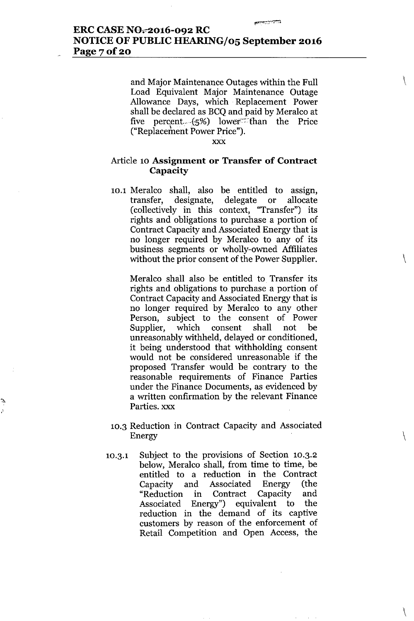and Major Maintenance Outages within the Full Load Equivalent Major Maintenance Outage Allowance Days, which. Replacement Power shall be declared as BCQ and paid by Meralco at five percent.  $(5%)$  lower than the Price ("Replacement Power Price").

تشخش

\

\

 $\setminus$ 

 $\setminus$ 

xxx

## Article 10 **Assignment or Transfer of Contract Capacity**

10.1 Meralco shall, also be entitled to assign, transfer, designate, delegate or allocate (collectively **in** this context, "Transfer") its rights and obligations to purchase a portion of Contract Capacity and Associated Energy that is no longer required by Meralco to any of its business segments or wholly-owned Affiliates without the prior consent of the Power Supplier.

Meralco shall also be entitled to Transfer its rights and obligations to purchase a portion of Contract Capacity and Associated Energy that is no longer required by Meralco to any other Person, subject to the consent of Power Supplier, which consent shall not be unreasonably withheld, delayed or conditioned, it being understood that withholding consent would not be considered unreasonable if the proposed Transfer would be contrary to the reasonable requirements of Finance Parties under the Finance Documents, as evidenced by a written confirmation by the relevant Finance Parties. xxx

- 10.3 Reduction **in** Contract Capacity and Associated Energy
- 10.3.1 Subject to the provisions of Section 10.3.2 below, Meralco shall, from time to time, be entitled to a reduction **in** the Contract Capacity and Associated Energy (the "Reduction **in** Contract Capacity and Associated Energy") equivalent to the reduction **in** the demand of its captive customers by reason of the enforcement of Retail Competition and Open Access, the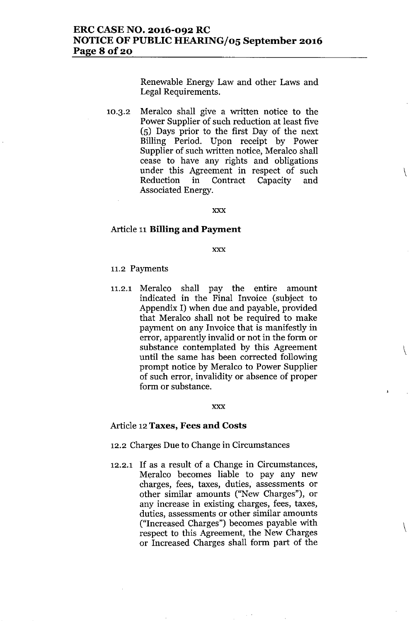Renewable Energy Law and other Laws and Legal Requirements.

 $\setminus$ 

 $\setminus$ 

 $\setminus$ 

10.3.2 Meralco shall give a written notice to the Power Supplier of such reduction at least five (5) Days prior to the first Day of the next Billing Period. Upon receipt by Power Supplier of such written notice, Meralco shall cease to have any rights and obligations under this Agreement in respect of such Reduction in Contract Capacity and Associated Energy.

xxx

## Article 11 **Billing and Payment**

xxx

### 11.2 Payments

11.2.1 Meralco shall pay the entire amount indicated in the Final Invoice (subject to Appendix I) when due and payable, provided that Meralco shall not be required to make payment on any Invoice that is manifestly in error, apparently invalid or not in the form or substance contemplated by this Agreement until the same has been corrected following prompt notice by Meralco to Power Supplier of such error, invalidity or absence of proper form or substance.

#### xxx

#### Article 12 **Taxes, Fees and Costs**

12.2 Charges Due to Change in Circumstances

12.2.1 If as a result of a Change in Circumstances, Meralco becomes liable to pay any new charges, fees, taxes, duties, assessments or other similar amounts ("New Charges"), or any increase in existing charges, fees, taxes, duties, assessments or other similar amounts ("Increased Charges") becomes payable with respect to this Agreement, the New Charges or Increased Charges shall form part of the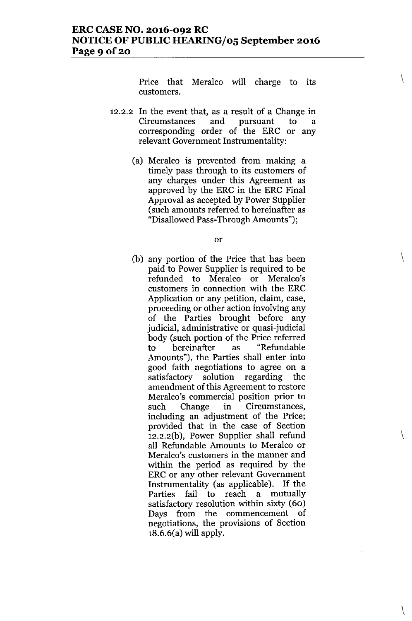# **ERC CASE NO. 2016-092 RC NOTICE OF PUBLIC HEARING/05 September 2016** Page 9 **Of20**

Price that Meralco will charge to its customers.

\

 $\setminus$ 

 $\setminus$ 

\

- 12.2.2 **In** the event that, as a result of a Change in Circumstances and pursuant to a corresponding order of the ERC or any relevant Government Instrumentality:
	- (a) Meralco is prevented from making a timely pass through to its customers of any charges under this Agreement as approved by the ERC in the ERC Final Approval as accepted by Power Supplier (such amounts referred to hereinafter as "Disallowed Pass-Through Amounts");

or

(b) any portion of the Price that has been paid to Power Supplier is required to be refunded to Meralco or Meralco's customers in connection with the ERC Application or any petition, claim, case, proceeding or other action involving any of the Parties brought before any judicial, administrative or quasi-judicial body (such portion of the Price referred to hereinafter as "Refundable Amounts"), the Parties shall enter into good faith negotiations to agree on a satisfactory solution regarding the amendment of this Agreement to restore Meralco's commercial position prior to such Change in Circumstances, including an adjustment of the Price; provided that in the case of Section 12.2.2(b), Power Supplier shall refund all Refundable Amounts to Meralco or Meralco's customers in the manner and within the period as required by the ERC or any other relevant Government Instrumentality (as applicable). If the Parties fail to reach a mutually satisfactory resolution within sixty (60) Days from the commencement of negotiations, the provisions of Section 18.6.6(a) will apply.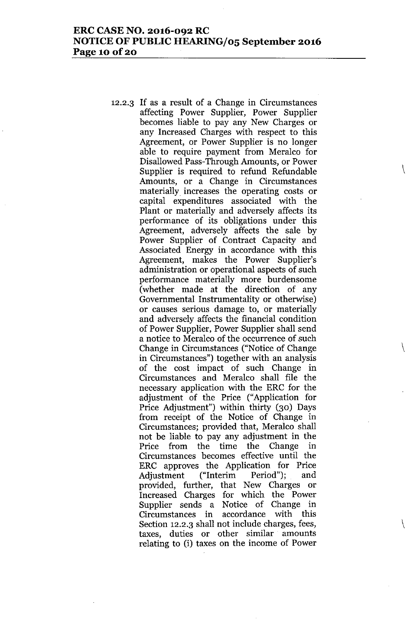# **ERC CASE NO. 2016-092 RC NOTICE OF PUBLIC HEARING/05 September 2016 Page 10 Of20**

12.2.3 If as a result of a Change in Circumstances affecting Power Supplier, Power Supplier becomes liable to pay any New Charges or any Increased Charges with respect to this Agreement, or Power Supplier is no longer able to require payment from Meralco for Disallowed Pass-Through Amounts, or Power Supplier is required to refund Refundable Amounts, or a Change in Circumstances materially increases the operating costs or capital expenditures associated with the Plant or materially and adversely affects its performance of its obligations under this Agreement, adversely affects the sale by Power Supplier of Contract Capacity and Associated Energy in accordance with this Agreement, makes the Power Supplier's administration or operational aspects of such performance materially more burdensome (whether made at the direction of any Governmental Instrumentality or otherwise) or causes serious damage to, or materially and adversely affects the financial condition of Power Supplier, Power Supplier shall send a notice to Meralco of the occurrence of such Change in Circumstances ("Notice of Change in Circumstances") together with an analysis of the cost impact of such Change in Circumstances and Meralco shall file the necessary application with the ERC for the adjustment of the Price ("Application for Price Adjustment") within thirty (30) Days from receipt of the Notice of Change in Circumstances; provided that, Meralco shall not be liable to pay any adjustment in the Price from the time the Change in Circumstances becomes effective until the ERC approves the Application for Price Adjustment ("Interim Period"); and provided, further, that New Charges or Increased Charges for which the Power Supplier sends a Notice of Change in Circumstances in accordance with this Section 12.2.3 shall not include charges, fees, taxes, duties or other similar amounts relating to (i) taxes on the income of Power

 $\setminus$ 

\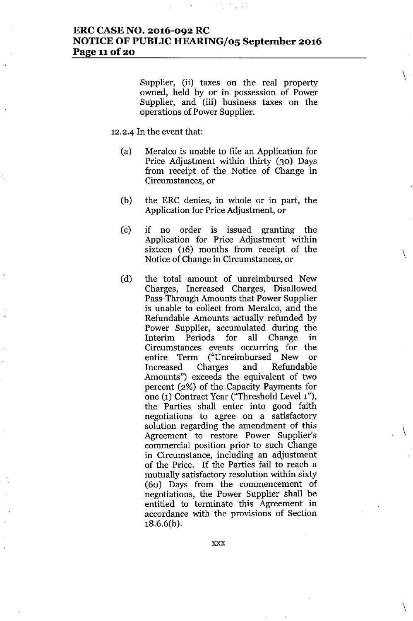# **ERC CASE NO. 2016-092 RC NOTICE OF PUBLIC HEARING/05 September 2016 Page l1of20**

Supplier, (ii) taxes on the real property owned, held by or in possession of Power Supplier, and (iii) business taxes on the operations of Power Supplier.

 $\setminus$ 

 $\setminus$ 

 $\setminus$ 

 $\setminus$ 

#### 12.2.4 **In** the event that:

- (a) Meralco is unable to file an Application for Price Adjustment within thirty (30) Days from receipt of the Notice of Change in Circumstances, or
- (b) the ERC denies, in whole or in part, the Application for Price Adjustment, or
- (c) if no order is issued granting the Application for Price Adjustment within sixteen (16) months from receipt of the Notice of Change in Circumstances, or
- (d) the total amount of unreimbursed New Charges, Increased Charges, Disallowed Pass-Through Amounts that Power Supplier is unable to collect from Meralco, and the Refundable Amounts actually refunded by Power Supplier, accumulated during the Interim Periods for all Change in Circumstances events occurring for the entire Term ("Unreimbursed New or Increased Charges and Refundable Amounts") exceeds the equivalent of two percent (2%) of the Capacity Payments for one (1) Contract Year ("Threshold Level 1"), the Parties shall enter into good faith negotiations to agree on a satisfactory solution regarding the amendment of this Agreement to restore Power Supplier's commercial position prior to such Change in Circumstance, including an adjustment of the Price. If the Parties fail to reach a mutually satisfactory resolution within sixty (60) Days from the commencement of negotiations, the Power Supplier shall be entitled to terminate this Agreement in accordance with the provisions of Section 18.6.6(b).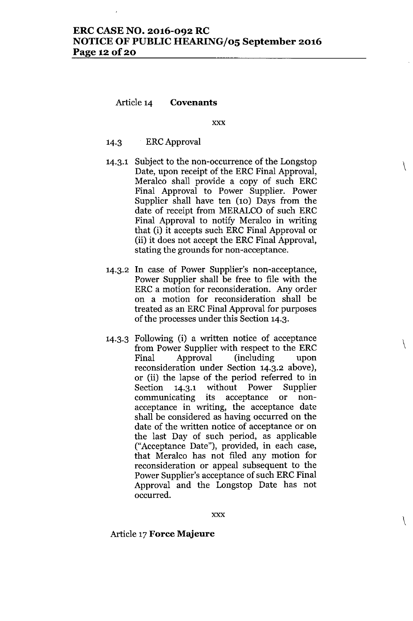# **ERC CASE NO. 2016-092 RC NOTICE OF PUBLIC HEARING/05 September 2016 Page 12 Of20**

## Article 14 **Covenants**

xxx

\

 $\setminus$ 

\

- 14.3 ERCApproval
- 14.3.1 Subject to the non-occurrence of the Longstop Date, upon receipt of the ERC Final Approval, Meralco shall provide a copy of such ERC Final Approval to Power Supplier. Power Supplier shall have ten (10) Days from the date of receipt from MERALCO of such ERC Final Approval to notify Meralco in writing that (i) it accepts such ERC Final Approval or (ii) it does not accept the ERC Final Approval, stating the grounds for non-acceptance.
- 14.3.2 **In** case of Power Supplier's non-acceptance, Power Supplier shall be free to file with the ERC a motion for reconsideration. Any order on a motion for reconsideration shall be treated as an ERC Final Approval for purposes of the processes under this Section 14.3.
- 14.3.3 Following (i) a written notice of acceptance from Power Supplier with respect to the ERC Final Approval (including upon reconsideration under Section 14.3.2 above), or (ii) the lapse of the period referred to in Section 14.3.1 without Power Supplier communicating its acceptance or nonacceptance in writing, the acceptance date shall be considered as having occurred on the date of the written notice of acceptance or on the last Day of such period, as applicable ("Acceptance Date"), provided, in each case, that Meralco has not filed any motion for reconsideration or appeal subsequent to the Power Supplier's acceptance of such ERC Final Approval and the Longstop Date has not occurred.

## Article 17**Force Majeure**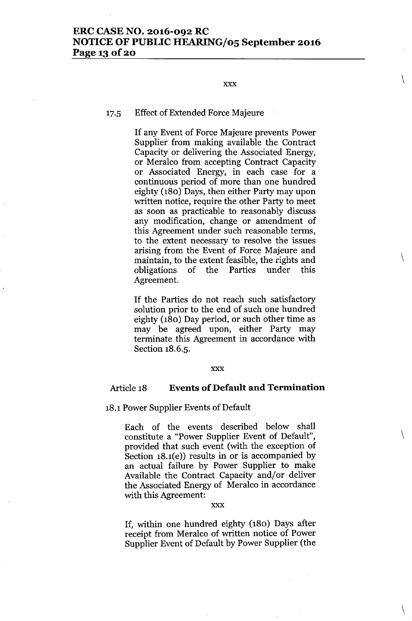# **ERC CASE NO. 2016-092 RC NOTICE OF PUBLIC HEARING/05 September 2016 Page 13 Of20**

#### xxx

\

 $\setminus$ 

 $\setminus$ 

 $\setminus$ 

## 17.5 Effect of Extended Force Majeure

If any Event of Force Majeure prevents Power Supplier from making available the Contract Capacity or delivering the Associated Energy, or Meralco from accepting Contract Capacity or Associated Energy, in each case for a continuous period of more than one hundred eighty (180) Days, then either Party may upon written notice, require the other Party to meet as soon as practicable to reasonably discuss any modification, change or amendment of this Agreement under such reasonable terms, to the extent necessary to resolve the issues arising from the Event of Force Majeure and maintain, to the extent feasible, the rights and obligations of the Parties under this Agreement.

If the Parties do not reach such satisfactory solution prior to the end of such one hundred eighty (180) Day period, or such other time as may be agreed upon, either Party may terminate this Agreement in accordance with Section 18.6.5.

#### xxx

# Article 18 **Events of Default and Termination**

# 18.1Power Supplier Events of Default

Each of the events described below shall constitute a "Power Supplier Event of Default", provided that such event (with the exception of Section 18.1(e)) results in or is accompanied by an actual failure by Power Supplier to make Available the Contract Capacity and/or. deliver the Associated Energy of Meralco in accordance with this Agreement:

#### xxx

If, within one hundred eighty (180) Days after receipt from Meralco of written notice of Power Supplier Event of Default by Power Supplier (the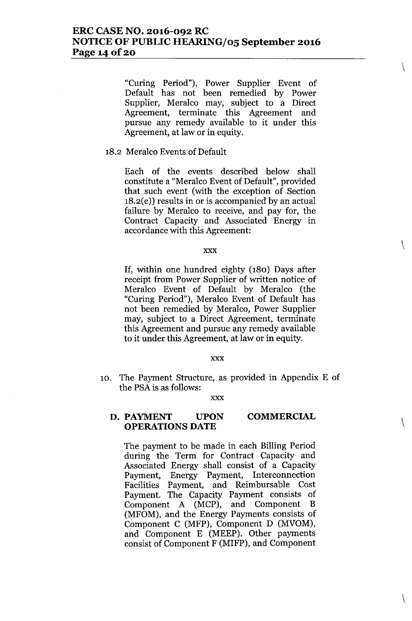"Curing Period"), Power Supplier Event of Default has not been remedied by Power Supplier, Meralco may, subject to a Direct Agreement, terminate this Agreement and pursue any remedy available to it under this Agreement, at law or in equity.

 $\setminus$ 

 $\setminus$ 

 $\backslash$ 

## 18.2 Meralco Events of Default

Each of the events described below shall constitute a "Meralco Event of Default", provided that such event (with the exception of Section 18.2(e)) results in or is accompanied by an actual failure by Meralco to receive, and pay for, the Contract Capacity and Associated Energy in accordance with this Agreement:

#### xxx

**If,** within one hundred eighty (180) Days after receipt from Power Supplier of written notice of Meralco Event of Default by Meralco (the "Curing Period"), Meralco Event of Default has not been remedied by Meralco, Power Supplier may, subject to a Direct Agreement, terminate this Agreement and pursue any remedy available to it under this Agreement, at law or in equity.

#### xxx

10. The Payment Structure, as provided in Appendix E of the PSAis as follows:

xxx

#### **D. PAYMENT UPON OPERATIONS DATE COMMERCIAL** \

The payment to be made in each Billing Period during the Term for Contract Capacity and Associated Energy shall consist of a Capacity Payment, Energy Payment, Interconnection Facilities Payment, and Reimbursable Cost Payment. The Capacity Payment consists of Component A (MCP), and Component B (MFOM), and the Energy Payments consists of Component C (MFP), Component D (MVOM), and Component E (MEEP). Other payments consist of Component F (MIFP), and Component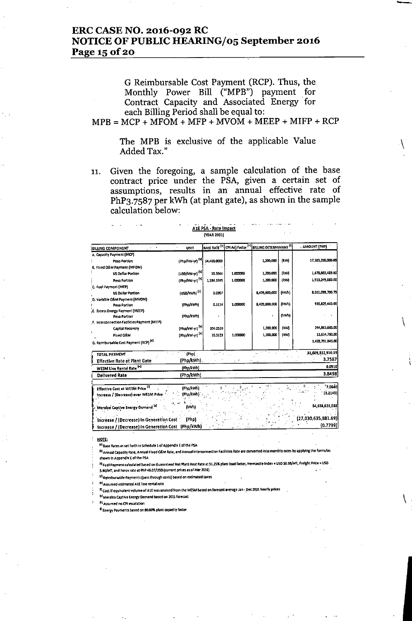# ERC CASE NO. 2016-092 RC NOTICE OF PUBLIC HEARING/05 September 2016 Page 15 of 20

G Reimbursable Cost Payment (RCP). Thus, the Monthly Power Bill ("MPB") payment for Contract Capacity and Associated Energy. for each Billing Period shall be equal to:

 $MPB = MCP + MFOM + MFP + MVOM + MEEP + MIFP + RCP$ 

The MPB is exclusive of the applicable Value Added Tax."

 $\setminus$ 

 $\setminus$ 

11. Given the foregoing, a sample calculation of the base contract price under the PSA, given a certain set of assumptions, results in an annual effective rate of PhP3.7S87 per kWh (at plant gate), as shown in the sample calculation below:

A1E PSA - Rate Impact

|                                                                                                                                     |                                 | <b>(YEAR 2021)</b> |          |                                                          |       |                                      |
|-------------------------------------------------------------------------------------------------------------------------------------|---------------------------------|--------------------|----------|----------------------------------------------------------|-------|--------------------------------------|
| $\epsilon = 0$<br><b>BILLING COMPONENT</b>                                                                                          | У.,<br><b>UNIT</b>              |                    |          | BASE RATE [1] CPI Adj Factor [1] BILLING DETERMINANT [1] |       | <b>AMOUNT (PHP)</b>                  |
| A. Capacity Payment (MCP)                                                                                                           |                                 |                    |          |                                                          |       |                                      |
| Peso Portion                                                                                                                        | (Php/kw-yr) <sup>[b]</sup>      | 14.486.0000        |          | 1,200,000                                                | (kw)  | 17.383.200.000.00                    |
| B. Fixed O&M Payment (MFOM)                                                                                                         |                                 |                    |          |                                                          |       |                                      |
| <b>US Dollar Portion</b>                                                                                                            | (USD/kW-yr) <sup>[D]</sup>      | 30.3544            | 1.000000 | 1,200,000                                                | (kw)  | 1,678,665,489.60                     |
| Peso Portion                                                                                                                        | (Php/KW-yr) <sup>[b]</sup>      | 1.594.3749         | 1.000000 | 1,200,000                                                | (kW)  | 1 913 249 880 00                     |
| C. Fuel Payment (MFP)                                                                                                               |                                 |                    |          |                                                          |       |                                      |
| <b>US Dollar Portion</b>                                                                                                            | (USD/AWh) <sup>[c]</sup>        | 0.0207             |          | 8.409.600.000                                            | (kvn) | 8.011.093.700.79                     |
| D. Variable O&M Payment (MVOM)                                                                                                      |                                 |                    |          |                                                          |       |                                      |
| Peso Portion                                                                                                                        | (Php/kWh)                       | 0.1114             | 1.000000 | 8,409,600,000                                            | (kwh) | 936.829.440.00                       |
| E. Excess Energy Payment (MEEP)                                                                                                     |                                 |                    |          |                                                          | (Wh)  |                                      |
| Peso Portion                                                                                                                        | (Php/kV/h)                      |                    |          |                                                          |       |                                      |
| F. Interconnection Facilities Payment (MIFP)                                                                                        |                                 | 2010530            |          | 1,200,000                                                | (kw)  | 244.863.600.00                       |
| Capital Recovery                                                                                                                    | (Php/kW-γr) <sup>{h}</sup>      |                    |          |                                                          | (KV)  | 12 614 760 00                        |
| Fixed OSM                                                                                                                           | (Php/kW-yr) <sup>[b]</sup>      | 10.5123            | 1,000000 | 1,200,000                                                |       |                                      |
| G. Reimbursable Cost Payment (RCP) <sup>[4]</sup>                                                                                   |                                 |                    |          |                                                          |       | 1.422.791.040.00                     |
| TOTAL PAYMENT.                                                                                                                      | [Php]                           | $\chi \sim 2$      |          |                                                          |       | 31,609,312,910.39                    |
| <b>Effective Rate at Plant Gate</b>                                                                                                 | (Php/kWh).                      |                    |          |                                                          |       | 3.7587                               |
| WESM Line Rental Rate <sup>[0]</sup>                                                                                                | (Php/kWh)                       |                    |          |                                                          |       | 0.0910                               |
| <b>Delivered Rate</b>                                                                                                               | (Php/kWh)                       |                    |          |                                                          |       | 3.8498                               |
| Effective Cost at WESM Price <sup>(f)</sup><br>Increase / (Decrease) over WESM Price<br>Meralco Captive Energy Domand <sup>It</sup> | (Php/kWh)<br>(Php/kWh)<br>(kwh) |                    |          |                                                          |       | 1,0640<br>(3.2143)<br>34,658,621,088 |
| Increase / (Decrease) In Generation Cost                                                                                            | (Php)                           |                    |          |                                                          |       | (27,030,635,881.69)                  |
| Increase / (Decrease) In Generation Cost (Php/kWh)                                                                                  |                                 |                    |          |                                                          |       | (0.7799)                             |

NOTE;<br><sup>[41</sup> Base Rates as set forth in Schedule 1 of Appendix E of the PSA

<sup>01</sup> Annual Capacity Rate, Annual Fixed O&M Rate, and Annual Interconnection Facilities Rate are converted into monthly rates by applying the formulas shown in Appendix E of the PSA

<sup>14</sup> Fuel Payment calculated based on Guaranteed Net Plant Heat Rate at 91.25% plant load factor, Newcastle Index = USD 50.38/MT, Freight Price = USO

5.90/MT, and Forex rate at PhP 46.07/USD (current prices as of Mar 2016)

M Reimbursable Payments (pass through costs) based on estimated taxes

<sup>14</sup> Assumed estimated A1E line rental rate

<sup>87</sup> Cost If equivalent volume of A1E was sourced from the WESM based on forecast average Jan - Dec 2021 hourly prices

In1 Meralco Captive Energy Demand based on 2021 forecast

Pl Assumed no CPI escalation

R Energy Payments based on 80.00% plant capacity factor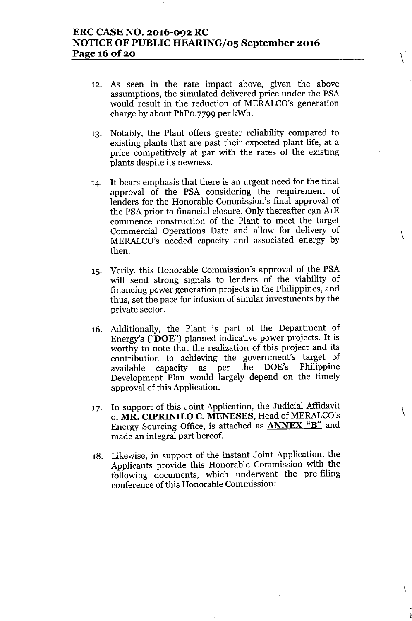# **ERC CASE NO. 2016-092 RC NOTICE OF PUBLIC HEARING/05 September 2016 Page 16 Of20**

12. As seen in the rate impact above, given the above assumptions, the simulated delivered price under the PSA would result in the reduction of MERALCO's generation charge by about PhPO.7799 per kWh.

 $\setminus$ 

\

 $\setminus$ 

- 13. Notably, the Plant offers greater reliability compared to existing plants that are past their expected plant life, at a price competitively at par with the rates of the existing plants despite its newness.
- 14. It bears emphasis that there is an urgent need for the final approval of the PSA considering the requirement of lenders for the Honorable Commission's final approval of the PSA prior to financial closure. Only thereafter can AlE commence construction of the Plant to meet the target Commercial Operations Date and allow for delivery of MERALCO's needed capacity and associated energy by then.
- 15. Verily, this Honorable Commission's approval of the PSA will send strong signals to lenders of the viability of financing power generation projects in the Philippines, and thus, set the pace for infusion of similar investments by the private sector.
- 16. Additionally, the Plant. is part of the Department of Energy's ("DOE") planned indicative power projects. It is worthy to note that the realization of this project and its contribution to achieving the government's target of available capacity as per the DOE's Philippin Development Plan would largely depend on the timely approval of this Application.
- 17. In support of this Joint Application, the Judicial Affidavit of **MR. CIPRINILO C. MENESES,** Head of MERALCO's Energy Sourcing Office, is attached as **ANNEX** "B" and made an integral part hereof.
- 18. Likewise, in support of the instant Joint Application, the Applicants provide this Honorable Commission with the following documents, which underwent the pre-filing conference of this Honorable Commission: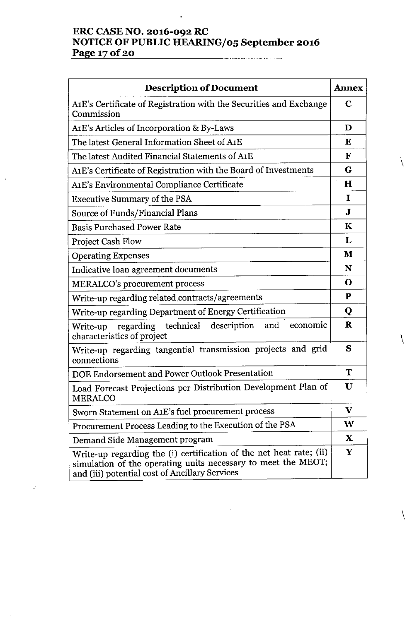# **ERC CASE NO. 2016-092 RC NOTICE OF PUBLIC HEARING/05 September 2016 Page 170f2o**

| <b>Description of Document</b>                                                                                                                                                         |              |  |  |
|----------------------------------------------------------------------------------------------------------------------------------------------------------------------------------------|--------------|--|--|
| A1E's Certificate of Registration with the Securities and Exchange<br>Commission                                                                                                       |              |  |  |
| A1E's Articles of Incorporation & By-Laws                                                                                                                                              |              |  |  |
| The latest General Information Sheet of A1E                                                                                                                                            |              |  |  |
| The latest Audited Financial Statements of A1E                                                                                                                                         |              |  |  |
| A1E's Certificate of Registration with the Board of Investments                                                                                                                        |              |  |  |
| A1E's Environmental Compliance Certificate                                                                                                                                             |              |  |  |
| <b>Executive Summary of the PSA</b>                                                                                                                                                    | $\bf{I}$     |  |  |
| Source of Funds/Financial Plans                                                                                                                                                        | $\mathbf{J}$ |  |  |
| <b>Basis Purchased Power Rate</b>                                                                                                                                                      | K            |  |  |
| <b>Project Cash Flow</b>                                                                                                                                                               | L            |  |  |
| <b>Operating Expenses</b>                                                                                                                                                              | M            |  |  |
| Indicative loan agreement documents                                                                                                                                                    | N            |  |  |
| <b>MERALCO's procurement process</b>                                                                                                                                                   | $\mathbf 0$  |  |  |
| Write-up regarding related contracts/agreements                                                                                                                                        | ${\bf P}$    |  |  |
| Write-up regarding Department of Energy Certification                                                                                                                                  | Q            |  |  |
| description<br>regarding technical<br>and<br>economic<br>Write-up<br>characteristics of project                                                                                        | $\mathbf R$  |  |  |
| Write-up regarding tangential transmission projects and grid<br>connections                                                                                                            | S            |  |  |
| DOE Endorsement and Power Outlook Presentation                                                                                                                                         | T            |  |  |
| Load Forecast Projections per Distribution Development Plan of<br><b>MERALCO</b>                                                                                                       | U            |  |  |
| Sworn Statement on A1E's fuel procurement process                                                                                                                                      | $\mathbf v$  |  |  |
| Procurement Process Leading to the Execution of the PSA                                                                                                                                |              |  |  |
| Demand Side Management program                                                                                                                                                         |              |  |  |
| Write-up regarding the (i) certification of the net heat rate; (ii)<br>simulation of the operating units necessary to meet the MEOT;<br>and (iii) potential cost of Ancillary Services | Y            |  |  |

 $\overline{\mathcal{A}}$ 

 $\setminus$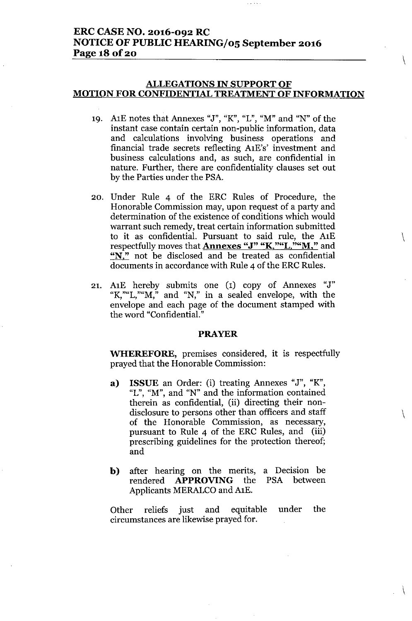# **ERC CASE NO. 2016-092 RC NOTICE OF PUBLIC HEARING/05 September 2016 Page 18 Of20**

## **ALLEGATIONS IN SUPPORT OF MOTION FOR CONFIDENTIAL TREATMENT OF INFORMATION**

**Contract** 

 $\setminus$ 

 $\setminus$ 

 $\setminus$ 

 $\left\{ \right.$ 

- 19. AlE notes that Annexes "J", "K", "L", "M" and "N" of the instant case contain certain non-public information, data and calculations involving business operations and financial trade secrets reflecting AlE's' investment and business calculations and, as such, are confidential in nature. Further, there are confidentiality clauses set out by the Parties under the PSA.
- 20. Under Rule 4 of the ERC Rules of Procedure, the Honorable Commission may, upon request of a party and determination of the existence of conditions which would warrant such remedy, treat certain information submitted to it as confidential. Pursuant to said rule, the AlE respectfully moves that **Annexes** "J" "K,""L,""M." and "N," not be disclosed and be treated as confidential documents in accordance with Rule 4 of the ERC Rules.
- 21. AlE hereby submits one (1) copy of Annexes "J" "K,""L,"" $M$ ," and "N," in a sealed envelope, with the envelope and each page of the document stamped with the word "Confidential."

#### **PRAYER**

**WHEREFORE,** premises considered, it is respectfully prayed that the Honorable Commission:

- **a) ISSUE** an Order: (i) treating Annexes "J", "K", "L", "M", and "N" and the information contained therein as confidential, (ii) directing their nondisclosure to persons other than officers and staff of the Honorable Commission, as necessary, pursuant to Rule 4 of the ERC Rules, and (iii) prescribing guidelines for the protection thereof; and
- **b)** after hearing on the merits, a Decision be rendered **APPROVING** the Applicants MERALCO and A1E. PSA between

Other reliefs just and equitable under the circumstances are likewise prayed for.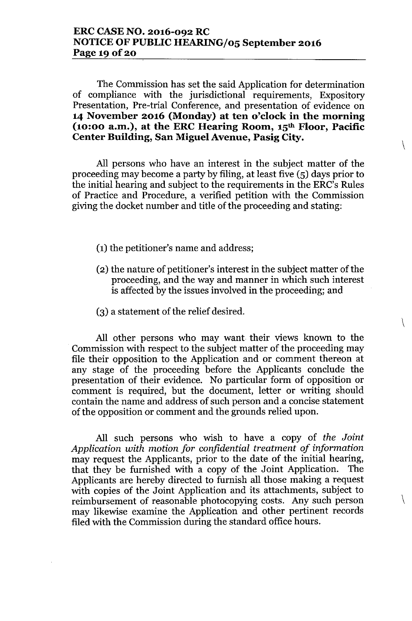# **ERCCASENO. 2016-092 RC NOTICEOF PUBLICHEARING/05 September 2016 Page 190f20**

The Commission has set the said Application for determination of compliance with the jurisdictional requirements, Expository Presentation, Pre-trial Conference, and presentation of evidence on **14 November 2016 (Monday) at ten o'clock in the morning (10:00 a.m.), at the ERC Hearing Room, 15th Floor, Pacific Center Building, San Miguel Avenue, Pasig City.**

 $\setminus$ 

 $\setminus$ 

All persons who have an interest in the subject matter of the proceeding may become a party by filing, at least five (5) days prior to the initial hearing and subject to the requirements in the ERC's Rules of Practice and Procedure, a verified petition with the Commission giving the docket number and title of the proceeding and stating:

- (1) the petitioner's name and address;
- (2) the nature of petitioner's interest in the subject matter of the proceeding, and the way and manner in which such interest is affected by the issues involved in the proceeding; and
- (3) a statement of the relief desired.

All other persons who may want their views known to the Commission with respect to the subject matter of the proceeding may file their opposition to the Application and or comment thereon at any stage of the proceeding before the Applicants conclude the presentation of their evidence. No particular form of opposition or comment is required, but the document, letter or writing should contain the name and address of such person and a concise statement of the opposition or comment and the grounds relied upon.

All such persons who wish to have a copy of *the Joint Application with motion for confidential treatment of information* may request the Applicants, prior to the date of the initial hearing, that they be furnished with a copy of the Joint Application. The Applicants are hereby directed to furnish all those making a request with copies of the Joint Application and its attachments, subject to reimbursement of reasonable photocopying costs. Any such person may likewise examine the Application and other pertinent records filed with the Commission during the standard office hours.